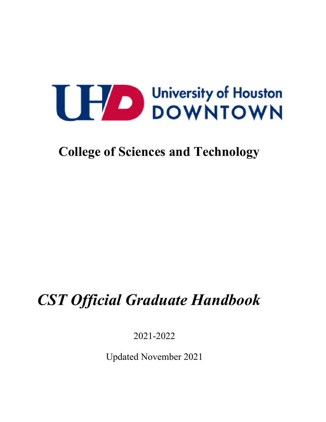**College of Sciences and Technology**

# *CST Official Graduate Handbook*

2021-2022

Updated November 2021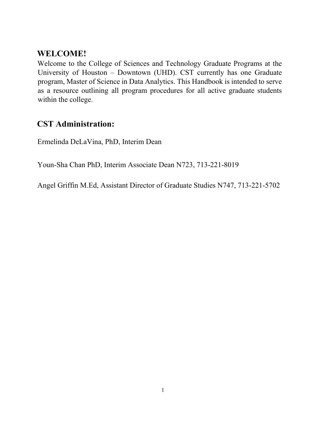# **WELCOME!**

Welcome to the College of Sciences and Technology Graduate Programs at the University of Houston – Downtown (UHD). CST currently has one Graduate program, Master of Science in Data Analytics. This Handbook is intended to serve as a resource outlining all program procedures for all active graduate students within the college.

# **CST Administration:**

Ermelinda DeLaVina, PhD, Interim Dean

Youn-Sha Chan PhD, Interim Associate Dean N723, 713-221-8019

Angel Griffin M.Ed, Assistant Director of Graduate Studies N747, 713-221-5702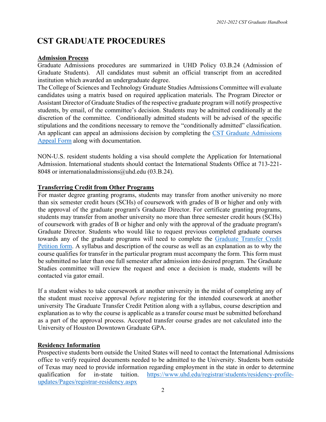# **CST GRADUATE PROCEDURES**

#### **Admission Process**

Graduate Admissions procedures are summarized in UHD Policy 03.B.24 (Admission of Graduate Students). All candidates must submit an official transcript from an accredited institution which awarded an undergraduate degree.

The College of Sciences and Technology Graduate Studies Admissions Committee will evaluate candidates using a matrix based on required application materials. The Program Director or Assistant Director of Graduate Studies of the respective graduate program will notify prospective students, by email, of the committee's decision. Students may be admitted conditionally at the discretion of the committee. Conditionally admitted students will be advised of the specific stipulations and the conditions necessary to remove the "conditionally admitted" classification. An applicant can appeal an admissions decision by completing the [CST Graduate Admissions](http://uhd.co1.qualtrics.com/jfe/form/SV_b28zqkZKop02j42)  [Appeal Form](http://uhd.co1.qualtrics.com/jfe/form/SV_b28zqkZKop02j42) along with documentation.

NON-U.S. resident students holding a visa should complete the Application for International Admission. International students should contact the International Students Office at 713-221- 8048 or internationaladmissions@uhd.edu (03.B.24).

#### **Transferring Credit from Other Programs**

For master degree granting programs, students may transfer from another university no more than six semester credit hours (SCHs) of coursework with grades of B or higher and only with the approval of the graduate program's Graduate Director. For certificate granting programs, students may transfer from another university no more than three semester credit hours (SCHs) of coursework with grades of B or higher and only with the approval of the graduate program's Graduate Director. Students who would like to request previous completed graduate courses towards any of the graduate programs will need to complete the Graduate Transfer Credit Petition form. A syllabus and description of the course as well as an explanation as to why the course qualifies for transfer in the particular program must accompany the form. This form must be submitted no later than one full semester after admission into desired program. The Graduate Studies committee will review the request and once a decision is made, students will be contacted via gator email.

If a student wishes to take coursework at another university in the midst of completing any of the student must receive approval *before* registering for the intended coursework at another university The Graduate Transfer Credit Petition along with a syllabus, course description and explanation as to why the course is applicable as a transfer course must be submitted beforehand as a part of the approval process. Accepted transfer course grades are not calculated into the University of Houston Downtown Graduate GPA.

#### **Residency Information**

Prospective students born outside the United States will need to contact the International Admissions office to verify required documents needed to be admitted to the University. Students born outside of Texas may need to provide information regarding employment in the state in order to determine qualification for in-state tuition. [https://www.uhd.edu/registrar/students/residency-profile](https://www.uhd.edu/registrar/students/residency-profile-updates/Pages/registrar-residency.aspx)[updates/Pages/registrar-residency.aspx](https://www.uhd.edu/registrar/students/residency-profile-updates/Pages/registrar-residency.aspx)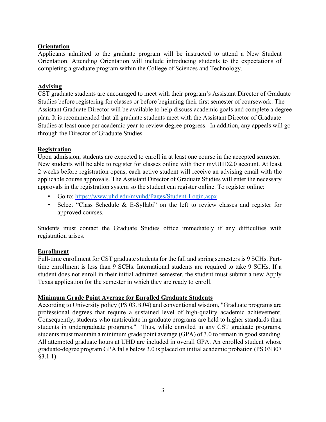#### **Orientation**

Applicants admitted to the graduate program will be instructed to attend a New Student Orientation. Attending Orientation will include introducing students to the expectations of completing a graduate program within the College of Sciences and Technology.

#### **Advising**

CST graduate students are encouraged to meet with their program's Assistant Director of Graduate Studies before registering for classes or before beginning their first semester of coursework. The Assistant Graduate Director will be available to help discuss academic goals and complete a degree plan. It is recommended that all graduate students meet with the Assistant Director of Graduate Studies at least once per academic year to review degree progress. In addition, any appeals will go through the Director of Graduate Studies.

#### **Registration**

Upon admission, students are expected to enroll in at least one course in the accepted semester. New students will be able to register for classes online with their myUHD2.0 account. At least 2 weeks before registration opens, each active student will receive an advising email with the applicable course approvals. The Assistant Director of Graduate Studies will enter the necessary approvals in the registration system so the student can register online. To register online:

- Go to:<https://www.uhd.edu/myuhd/Pages/Student-Login.aspx>
- Select "Class Schedule & E-Syllabi" on the left to review classes and register for approved courses.

Students must contact the Graduate Studies office immediately if any difficulties with registration arises.

#### **Enrollment**

Full-time enrollment for CST graduate students for the fall and spring semesters is 9 SCHs. Parttime enrollment is less than 9 SCHs. International students are required to take 9 SCHs. If a student does not enroll in their initial admitted semester, the student must submit a new Apply Texas application for the semester in which they are ready to enroll.

#### **Minimum Grade Point Average for Enrolled Graduate Students**

According to University policy (PS 03.B.04) and conventional wisdom, "Graduate programs are professional degrees that require a sustained level of high-quality academic achievement. Consequently, students who matriculate in graduate programs are held to higher standards than students in undergraduate programs." Thus, while enrolled in any CST graduate programs, students must maintain a minimum grade point average (GPA) of 3.0 to remain in good standing. All attempted graduate hours at UHD are included in overall GPA. An enrolled student whose graduate-degree program GPA falls below 3.0 is placed on initial academic probation (PS 03B07 §3.1.1)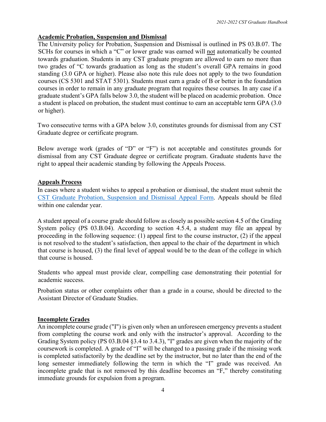#### **Academic Probation, Suspension and Dismissal**

The University policy for Probation, Suspension and Dismissal is outlined in PS 03.B.07. The SCHs for courses in which a "C" or lower grade was earned will not automatically be counted towards graduation. Students in any CST graduate program are allowed to earn no more than two grades of "C towards graduation as long as the student's overall GPA remains in good standing (3.0 GPA or higher). Please also note this rule does not apply to the two foundation courses (CS 5301 and STAT 5301). Students must earn a grade of B or better in the foundation courses in order to remain in any graduate program that requires these courses. In any case if a graduate student's GPA falls below 3.0, the student will be placed on academic probation. Once a student is placed on probation, the student must continue to earn an acceptable term GPA (3.0 or higher).

Two consecutive terms with a GPA below 3.0, constitutes grounds for dismissal from any CST Graduate degree or certificate program.

Below average work (grades of "D" or "F") is not acceptable and constitutes grounds for dismissal from any CST Graduate degree or certificate program. Graduate students have the right to appeal their academic standing by following the Appeals Process.

#### **Appeals Process**

In cases where a student wishes to appeal a probation or dismissal, the student must submit the [CST Graduate Probation, Suspension and Dismissal Appeal Form.](http://uhd.co1.qualtrics.com/jfe/form/SV_4Pgd9aKdABl1Ayy) Appeals should be filed within one calendar year.

A student appeal of a course grade should follow as closely as possible section 4.5 of the Grading System policy (PS 03.B.04). According to section 4.5.4, a student may file an appeal by proceeding in the following sequence: (1) appeal first to the course instructor, (2) if the appeal is not resolved to the student's satisfaction, then appeal to the chair of the department in which that course is housed, (3) the final level of appeal would be to the dean of the college in which that course is housed.

Students who appeal must provide clear, compelling case demonstrating their potential for academic success.

Probation status or other complaints other than a grade in a course, should be directed to the Assistant Director of Graduate Studies.

#### **Incomplete Grades**

An incomplete course grade ("I") is given only when an unforeseen emergency prevents a student from completing the course work and only with the instructor's approval. According to the Grading System policy (PS 03.B.04 §3.4 to 3.4.3), "I" grades are given when the majority of the coursework is completed. A grade of "I" will be changed to a passing grade if the missing work is completed satisfactorily by the deadline set by the instructor, but no later than the end of the long semester immediately following the term in which the "I" grade was received. An incomplete grade that is not removed by this deadline becomes an "F," thereby constituting immediate grounds for expulsion from a program.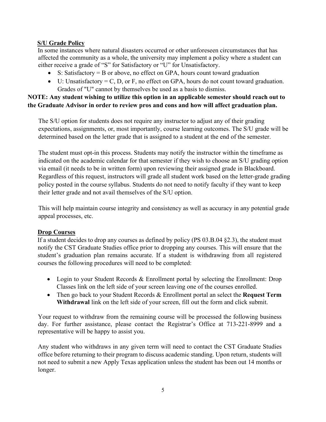#### **S/U Grade Policy**

In some instances where natural disasters occurred or other unforeseen circumstances that has affected the community as a whole, the university may implement a policy where a student can either receive a grade of "S" for Satisfactory or "U" for Unsatisfactory.

- S: Satisfactory = B or above, no effect on GPA, hours count toward graduation
- U: Unsatisfactory = C, D, or F, no effect on GPA, hours do not count toward graduation. Grades of "U" cannot by themselves be used as a basis to dismiss.

#### **NOTE: Any student wishing to utilize this option in an applicable semester should reach out to the Graduate Advisor in order to review pros and cons and how will affect graduation plan.**

The S/U option for students does not require any instructor to adjust any of their grading expectations, assignments, or, most importantly, course learning outcomes. The S/U grade will be determined based on the letter grade that is assigned to a student at the end of the semester.

The student must opt-in this process. Students may notify the instructor within the timeframe as indicated on the academic calendar for that semester if they wish to choose an S/U grading option via email (it needs to be in written form) upon reviewing their assigned grade in Blackboard. Regardless of this request, instructors will grade all student work based on the letter-grade grading policy posted in the course syllabus. Students do not need to notify faculty if they want to keep their letter grade and not avail themselves of the S/U option.

This will help maintain course integrity and consistency as well as accuracy in any potential grade appeal processes, etc.

#### **Drop Courses**

If a student decides to drop any courses as defined by policy (PS 03.B.04 §2.3), the student must notify the CST Graduate Studies office prior to dropping any courses. This will ensure that the student's graduation plan remains accurate. If a student is withdrawing from all registered courses the following procedures will need to be completed:

- Login to your Student Records & Enrollment portal by selecting the Enrollment: Drop Classes link on the left side of your screen leaving one of the courses enrolled.
- Then go back to your Student Records & Enrollment portal an select the **Request Term Withdrawal** link on the left side of your screen, fill out the form and click submit.

Your request to withdraw from the remaining course will be processed the following business day. For further assistance, please contact the Registrar's Office at 713-221-8999 and a representative will be happy to assist you.

Any student who withdraws in any given term will need to contact the CST Graduate Studies office before returning to their program to discuss academic standing. Upon return, students will not need to submit a new Apply Texas application unless the student has been out 14 months or longer.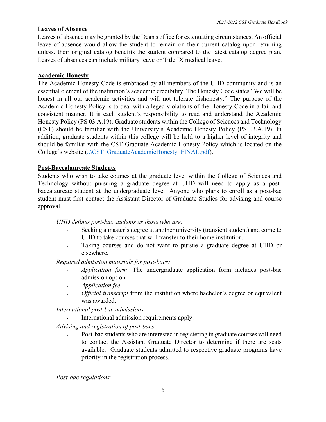#### **Leaves of Absence**

Leaves of absence may be granted by the Dean's office for extenuating circumstances. An official leave of absence would allow the student to remain on their current catalog upon returning unless, their original catalog benefits the student compared to the latest catalog degree plan. Leaves of absences can include military leave or Title IX medical leave.

#### **Academic Honesty**

The Academic Honesty Code is embraced by all members of the UHD community and is an essential element of the institution's academic credibility. The Honesty Code states "We will be honest in all our academic activities and will not tolerate dishonesty." The purpose of the Academic Honesty Policy is to deal with alleged violations of the Honesty Code in a fair and consistent manner. It is each student's responsibility to read and understand the Academic Honesty Policy (PS 03.A.19). Graduate students within the College of Sciences and Technology (CST) should be familiar with the University's Academic Honesty Policy (PS 03.A.19). In addition, graduate students within this college will be held to a higher level of integrity and should be familiar with the CST Graduate Academic Honesty Policy which is located on the College's website (..\CST\_GraduateAcademicHonesty\_FINAL.pdf).

#### **Post-Baccalaureate Students**

Students who wish to take courses at the graduate level within the College of Sciences and Technology without pursuing a graduate degree at UHD will need to apply as a postbaccalaureate student at the undergraduate level. Anyone who plans to enroll as a post-bac student must first contact the Assistant Director of Graduate Studies for advising and course approval.

*UHD defines post-bac students as those who are:* 

- Seeking a master's degree at another university (transient student) and come to UHD to take courses that will transfer to their home institution.
- Taking courses and do not want to pursue a graduate degree at UHD or elsewhere.

*Required admission materials for post-bacs:* 

- *Application form*: The undergraduate application form includes post-bac admission option.
- *Application fee*.
- *Official transcript* from the institution where bachelor's degree or equivalent was awarded.

*International post-bac admissions:* 

• International admission requirements apply.

*Advising and registration of post-bacs:* 

• Post-bac students who are interested in registering in graduate courses will need to contact the Assistant Graduate Director to determine if there are seats available. Graduate students admitted to respective graduate programs have priority in the registration process.

*Post-bac regulations:*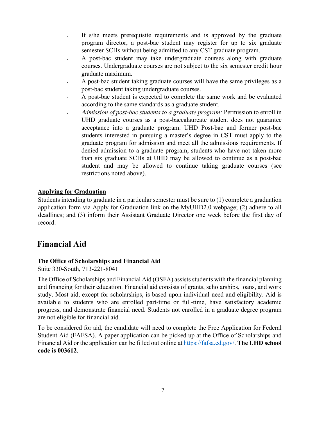- If s/he meets prerequisite requirements and is approved by the graduate program director, a post-bac student may register for up to six graduate semester SCHs without being admitted to any CST graduate program.
- A post-bac student may take undergraduate courses along with graduate courses. Undergraduate courses are not subject to the six semester credit hour graduate maximum.
- A post-bac student taking graduate courses will have the same privileges as a post-bac student taking undergraduate courses.
- A post-bac student is expected to complete the same work and be evaluated according to the same standards as a graduate student.
- *Admission of post-bac students to a graduate program:* Permission to enroll in UHD graduate courses as a post-baccalaureate student does not guarantee acceptance into a graduate program. UHD Post-bac and former post-bac students interested in pursuing a master's degree in CST must apply to the graduate program for admission and meet all the admissions requirements. If denied admission to a graduate program, students who have not taken more than six graduate SCHs at UHD may be allowed to continue as a post-bac student and may be allowed to continue taking graduate courses (see restrictions noted above).

#### **Applying for Graduation**

Students intending to graduate in a particular semester must be sure to (1) complete a graduation application form via Apply for Graduation link on the MyUHD2.0 webpage; (2) adhere to all deadlines; and (3) inform their Assistant Graduate Director one week before the first day of record.

# **Financial Aid**

#### **The Office of Scholarships and Financial Aid**

Suite 330-South, 713-221-8041

The Office of Scholarships and Financial Aid (OSFA) assists students with the financial planning and financing for their education. Financial aid consists of grants, scholarships, loans, and work study. Most aid, except for scholarships, is based upon individual need and eligibility. Aid is available to students who are enrolled part-time or full-time, have satisfactory academic progress, and demonstrate financial need. Students not enrolled in a graduate degree program are not eligible for financial aid.

To be considered for aid, the candidate will need to complete the Free Application for Federal Student Aid (FAFSA). A paper application can be picked up at the Office of Scholarships and Financial Aid or the application can be filled out online at https://fafsa.ed.gov/. **The UHD school code is 003612**.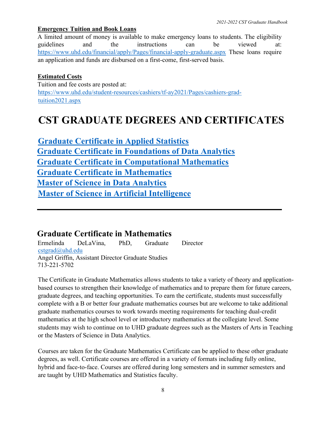#### **Emergency Tuition and Book Loans**

A limited amount of money is available to make emergency loans to students. The eligibility guidelines and the instructions can be viewed at: <https://www.uhd.edu/financial/apply/Pages/financial-apply-graduate.aspx> These loans require an application and funds are disbursed on a first-come, first-served basis.

#### **Estimated Costs**

Tuition and fee costs are posted at: [https://www.uhd.edu/student-resources/cashiers/tf-ay2021/Pages/cashiers-grad](https://www.uhd.edu/student-resources/cashiers/tf-ay2021/Pages/cashiers-grad-tuition2021.aspx)[tuition2021.aspx](https://www.uhd.edu/student-resources/cashiers/tf-ay2021/Pages/cashiers-grad-tuition2021.aspx)

# **CST GRADUATE DEGREES AND CERTIFICATES**

**Graduate Certificate in Applied Statistics Graduate Certificate in Foundations of Data Analytics Graduate Certificate in Computational Mathematics Graduate Certificate in Mathematics Master of Science in Data Analytics Master of Science in Artificial Intelligence**

# **Graduate Certificate in Mathematics**

Ermelinda DeLaVina, PhD, Graduate Director [cstgrad@uhd.edu](mailto:cstgrad@uhd.edu) Angel Griffin, Assistant Director Graduate Studies 713-221-5702

The Certificate in Graduate Mathematics allows students to take a variety of theory and applicationbased courses to strengthen their knowledge of mathematics and to prepare them for future careers, graduate degrees, and teaching opportunities. To earn the certificate, students must successfully complete with a B or better four graduate mathematics courses but are welcome to take additional graduate mathematics courses to work towards meeting requirements for teaching dual-credit mathematics at the high school level or introductory mathematics at the collegiate level. Some students may wish to continue on to UHD graduate degrees such as the Masters of Arts in Teaching or the Masters of Science in Data Analytics.

Courses are taken for the Graduate Mathematics Certificate can be applied to these other graduate degrees, as well. Certificate courses are offered in a variety of formats including fully online, hybrid and face-to-face. Courses are offered during long semesters and in summer semesters and are taught by UHD Mathematics and Statistics faculty.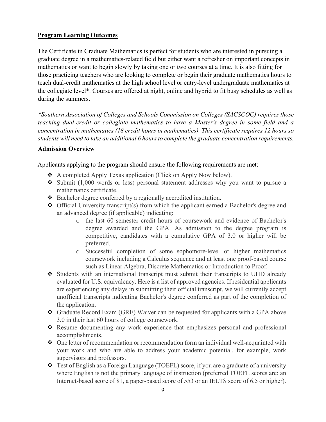#### **Program Learning Outcomes**

The Certificate in Graduate Mathematics is perfect for students who are interested in pursuing a graduate degree in a mathematics-related field but either want a refresher on important concepts in mathematics or want to begin slowly by taking one or two courses at a time. It is also fitting for those practicing teachers who are looking to complete or begin their graduate mathematics hours to teach dual-credit mathematics at the high school level or entry-level undergraduate mathematics at the collegiate level\*. Courses are offered at night, online and hybrid to fit busy schedules as well as during the summers.

*\*Southern Association of Colleges and Schools Commission on Colleges (SACSCOC) requires those teaching dual-credit or collegiate mathematics to have a Master's degree in some field and a concentration in mathematics (18 credit hours in mathematics). This certificate requires 12 hours so students will need to take an additional 6 hours to complete the graduate concentration requirements.*

#### **Admission Overview**

Applicants applying to the program should ensure the following requirements are met:

- ◆ A completed Apply Texas application (Click on Apply Now below).
- Submit  $(1,000$  words or less) personal statement addresses why you want to pursue a mathematics certificate.
- ◆ Bachelor degree conferred by a regionally accredited institution.
- Official University transcript(s) from which the applicant earned a Bachelor's degree and an advanced degree (if applicable) indicating:
	- o the last 60 semester credit hours of coursework and evidence of Bachelor's degree awarded and the GPA. As admission to the degree program is competitive, candidates with a cumulative GPA of 3.0 or higher will be preferred.
	- o Successful completion of some sophomore-level or higher mathematics coursework including a Calculus sequence and at least one proof-based course such as Linear Algebra, Discrete Mathematics or Introduction to Proof.
- $\triangle$  Students with an international transcript must submit their transcripts to UHD already evaluated for U.S. equivalency. Here is a list of approved agencies. If residential applicants are experiencing any delays in submitting their official transcript, we will currently accept unofficial transcripts indicating Bachelor's degree conferred as part of the completion of the application.
- Graduate Record Exam (GRE) Waiver can be requested for applicants with a GPA above 3.0 in their last 60 hours of college coursework.
- Resume documenting any work experience that emphasizes personal and professional accomplishments.
- One letter of recommendation or recommendation form an individual well-acquainted with your work and who are able to address your academic potential, for example, work supervisors and professors.
- $\triangle$  Test of English as a Foreign Language (TOEFL) score, if you are a graduate of a university where English is not the primary language of instruction (preferred TOEFL scores are: an Internet-based score of 81, a paper-based score of 553 or an IELTS score of 6.5 or higher).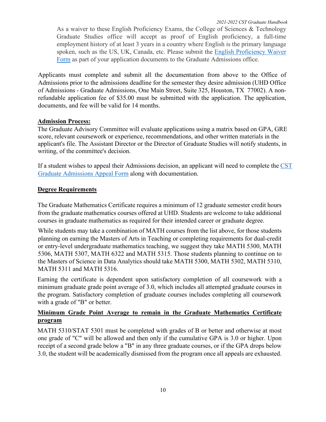As a waiver to these English Proficiency Exams, the College of Sciences & Technology Graduate Studies office will accept as proof of English proficiency, a full-time employment history of at least 3 years in a country where English is the primary language spoken, such as the US, UK, Canada, etc. Please submit the English Proficiency Waiver Form as part of your application documents to the Graduate Admissions office.

Applicants must complete and submit all the documentation from above to the Office of Admissions prior to the admissions deadline for the semester they desire admission (UHD Office of Admissions - Graduate Admissions, One Main Street, Suite 325, Houston, TX 77002). A nonrefundable application fee of \$35.00 must be submitted with the application. The application, documents, and fee will be valid for 14 months.

#### **Admission Process:**

The Graduate Advisory Committee will evaluate applications using a matrix based on GPA, GRE score, relevant coursework or experience, recommendations, and other written materials in the applicant's file. The Assistant Director or the Director of Graduate Studies will notify students, in writing, of the committee's decision.

If a student wishes to appeal their Admissions decision, an applicant will need to complete the [CST](http://uhd.co1.qualtrics.com/jfe/form/SV_b28zqkZKop02j42)  [Graduate Admissions Appeal Form](http://uhd.co1.qualtrics.com/jfe/form/SV_b28zqkZKop02j42) along with documentation.

#### **Degree Requirements**

The Graduate Mathematics Certificate requires a minimum of 12 graduate semester credit hours from the graduate mathematics courses offered at UHD. Students are welcome to take additional courses in graduate mathematics as required for their intended career or graduate degree.

While students may take a combination of MATH courses from the list above, for those students planning on earning the Masters of Arts in Teaching or completing requirements for dual-credit or entry-level undergraduate mathematics teaching, we suggest they take MATH 5300, MATH 5306, MATH 5307, MATH 6322 and MATH 5315. Those students planning to continue on to the Masters of Science in Data Analytics should take MATH 5300, MATH 5302, MATH 5310, MATH 5311 and MATH 5316.

Earning the certificate is dependent upon satisfactory completion of all coursework with a minimum graduate grade point average of 3.0, which includes all attempted graduate courses in the program. Satisfactory completion of graduate courses includes completing all coursework with a grade of "B" or better.

#### **Minimum Grade Point Average to remain in the Graduate Mathematics Certificate program**

MATH 5310/STAT 5301 must be completed with grades of B or better and otherwise at most one grade of "C" will be allowed and then only if the cumulative GPA is 3.0 or higher. Upon receipt of a second grade below a "B" in any three graduate courses, or if the GPA drops below 3.0, the student will be academically dismissed from the program once all appeals are exhausted.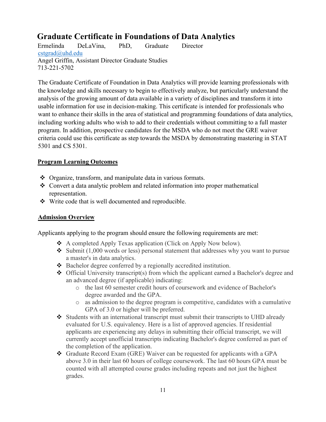# **Graduate Certificate in Foundations of Data Analytics**

Ermelinda DeLaVina, PhD, Graduate Director [cstgrad@uhd.edu](mailto:cstgrad@uhd.edu) Angel Griffin, Assistant Director Graduate Studies 713-221-5702

The Graduate Certificate of Foundation in Data Analytics will provide learning professionals with the knowledge and skills necessary to begin to effectively analyze, but particularly understand the analysis of the growing amount of data available in a variety of disciplines and transform it into usable information for use in decision-making. This certificate is intended for professionals who want to enhance their skills in the area of statistical and programming foundations of data analytics, including working adults who wish to add to their credentials without committing to a full master program. In addition, prospective candidates for the MSDA who do not meet the GRE waiver criteria could use this certificate as step towards the MSDA by demonstrating mastering in STAT 5301 and CS 5301.

#### **Program Learning Outcomes**

- ◆ Organize, transform, and manipulate data in various formats.
- Convert a data analytic problem and related information into proper mathematical representation.
- Write code that is well documented and reproducible.

#### **Admission Overview**

Applicants applying to the program should ensure the following requirements are met:

- A completed Apply Texas application (Click on Apply Now below).
- $\clubsuit$  Submit (1,000 words or less) personal statement that addresses why you want to pursue a master's in data analytics.
- ◆ Bachelor degree conferred by a regionally accredited institution.
- $\triangle$  Official University transcript(s) from which the applicant earned a Bachelor's degree and an advanced degree (if applicable) indicating:
	- o the last 60 semester credit hours of coursework and evidence of Bachelor's degree awarded and the GPA.
	- o as admission to the degree program is competitive, candidates with a cumulative GPA of 3.0 or higher will be preferred.
- $\bullet$  Students with an international transcript must submit their transcripts to UHD already evaluated for U.S. equivalency. Here is a list of approved agencies. If residential applicants are experiencing any delays in submitting their official transcript, we will currently accept unofficial transcripts indicating Bachelor's degree conferred as part of the completion of the application.
- Graduate Record Exam (GRE) Waiver can be requested for applicants with a GPA above 3.0 in their last 60 hours of college coursework. The last 60 hours GPA must be counted with all attempted course grades including repeats and not just the highest grades.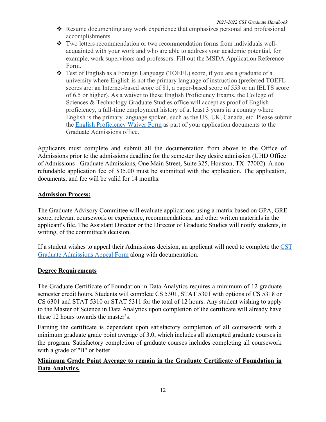- Resume documenting any work experience that emphasizes personal and professional accomplishments.
- Two letters recommendation or two recommendation forms from individuals wellacquainted with your work and who are able to address your academic potential, for example, work supervisors and professors. Fill out the MSDA Application Reference Form.
- Test of English as a Foreign Language (TOEFL) score, if you are a graduate of a university where English is not the primary language of instruction (preferred TOEFL scores are: an Internet-based score of 81, a paper-based score of 553 or an IELTS score of 6.5 or higher). As a waiver to these English Proficiency Exams, the College of Sciences & Technology Graduate Studies office will accept as proof of English proficiency, a full-time employment history of at least 3 years in a country where English is the primary language spoken, such as the US, UK, Canada, etc. Please submit the English Proficiency Waiver Form as part of your application documents to the Graduate Admissions office.

Applicants must complete and submit all the documentation from above to the Office of Admissions prior to the admissions deadline for the semester they desire admission (UHD Office of Admissions - Graduate Admissions, One Main Street, Suite 325, Houston, TX 77002). A nonrefundable application fee of \$35.00 must be submitted with the application. The application, documents, and fee will be valid for 14 months.

#### **Admission Process:**

The Graduate Advisory Committee will evaluate applications using a matrix based on GPA, GRE score, relevant coursework or experience, recommendations, and other written materials in the applicant's file. The Assistant Director or the Director of Graduate Studies will notify students, in writing, of the committee's decision.

If a student wishes to appeal their Admissions decision, an applicant will need to complete the CST [Graduate Admissions Appeal Form](http://uhd.co1.qualtrics.com/jfe/form/SV_b28zqkZKop02j42) along with documentation.

#### **Degree Requirements**

The Graduate Certificate of Foundation in Data Analytics requires a minimum of 12 graduate semester credit hours. Students will complete CS 5301, STAT 5301 with options of CS 5318 or CS 6301 and STAT 5310 or STAT 5311 for the total of 12 hours. Any student wishing to apply to the Master of Science in Data Analytics upon completion of the certificate will already have these 12 hours towards the master's.

Earning the certificate is dependent upon satisfactory completion of all coursework with a minimum graduate grade point average of 3.0, which includes all attempted graduate courses in the program. Satisfactory completion of graduate courses includes completing all coursework with a grade of "B" or better.

#### **Minimum Grade Point Average to remain in the Graduate Certificate of Foundation in Data Analytics.**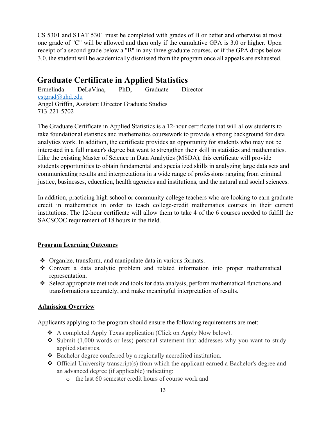CS 5301 and STAT 5301 must be completed with grades of B or better and otherwise at most one grade of "C" will be allowed and then only if the cumulative GPA is 3.0 or higher. Upon receipt of a second grade below a "B" in any three graduate courses, or if the GPA drops below 3.0, the student will be academically dismissed from the program once all appeals are exhausted.

# **Graduate Certificate in Applied Statistics**

Ermelinda DeLaVina, PhD, Graduate Director [cstgrad@uhd.edu](mailto:cstgrad@uhd.edu) Angel Griffin, Assistant Director Graduate Studies 713-221-5702

The Graduate Certificate in Applied Statistics is a 12-hour certificate that will allow students to take foundational statistics and mathematics coursework to provide a strong background for data analytics work. In addition, the certificate provides an opportunity for students who may not be interested in a full master's degree but want to strengthen their skill in statistics and mathematics. Like the existing Master of Science in Data Analytics (MSDA), this certificate will provide students opportunities to obtain fundamental and specialized skills in analyzing large data sets and communicating results and interpretations in a wide range of professions ranging from criminal justice, businesses, education, health agencies and institutions, and the natural and social sciences.

In addition, practicing high school or community college teachers who are looking to earn graduate credit in mathematics in order to teach college-credit mathematics courses in their current institutions. The 12-hour certificate will allow them to take 4 of the 6 courses needed to fulfill the SACSCOC requirement of 18 hours in the field.

#### **Program Learning Outcomes**

- ◆ Organize, transform, and manipulate data in various formats.
- Convert a data analytic problem and related information into proper mathematical representation.
- Select appropriate methods and tools for data analysis, perform mathematical functions and transformations accurately, and make meaningful interpretation of results.

#### **Admission Overview**

Applicants applying to the program should ensure the following requirements are met:

- ◆ A completed Apply Texas application (Click on Apply Now below).
- Submit  $(1,000$  words or less) personal statement that addresses why you want to study applied statistics.
- Bachelor degree conferred by a regionally accredited institution.
- Official University transcript(s) from which the applicant earned a Bachelor's degree and an advanced degree (if applicable) indicating:
	- o the last 60 semester credit hours of course work and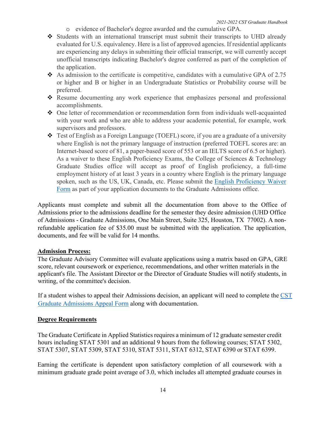- o evidence of Bachelor's degree awarded and the cumulative GPA.
- Students with an international transcript must submit their transcripts to UHD already evaluated for U.S. equivalency. Here is a list of approved agencies. If residential applicants are experiencing any delays in submitting their official transcript, we will currently accept unofficial transcripts indicating Bachelor's degree conferred as part of the completion of the application.
- $\bullet$  As admission to the certificate is competitive, candidates with a cumulative GPA of 2.75 or higher and B or higher in an Undergraduate Statistics or Probability course will be preferred.
- Resume documenting any work experience that emphasizes personal and professional accomplishments.
- One letter of recommendation or recommendation form from individuals well-acquainted with your work and who are able to address your academic potential, for example, work supervisors and professors.
- Test of English as a Foreign Language (TOEFL) score, if you are a graduate of a university where English is not the primary language of instruction (preferred TOEFL scores are: an Internet-based score of 81, a paper-based score of 553 or an IELTS score of 6.5 or higher). As a waiver to these English Proficiency Exams, the College of Sciences & Technology Graduate Studies office will accept as proof of English proficiency, a full-time employment history of at least 3 years in a country where English is the primary language spoken, such as the US, UK, Canada, etc. Please submit the English Proficiency Waiver Form as part of your application documents to the Graduate Admissions office.

Applicants must complete and submit all the documentation from above to the Office of Admissions prior to the admissions deadline for the semester they desire admission (UHD Office of Admissions - Graduate Admissions, One Main Street, Suite 325, Houston, TX 77002). A nonrefundable application fee of \$35.00 must be submitted with the application. The application, documents, and fee will be valid for 14 months.

#### **Admission Process:**

The Graduate Advisory Committee will evaluate applications using a matrix based on GPA, GRE score, relevant coursework or experience, recommendations, and other written materials in the applicant's file. The Assistant Director or the Director of Graduate Studies will notify students, in writing, of the committee's decision.

If a student wishes to appeal their Admissions decision, an applicant will need to complete the  $\overline{\text{CST}}$ [Graduate Admissions Appeal Form](http://uhd.co1.qualtrics.com/jfe/form/SV_b28zqkZKop02j42) along with documentation.

#### **Degree Requirements**

The Graduate Certificate in Applied Statistics requires a minimum of 12 graduate semester credit hours including STAT 5301 and an additional 9 hours from the following courses; STAT 5302, STAT 5307, STAT 5309, STAT 5310, STAT 5311, STAT 6312, STAT 6390 or STAT 6399.

Earning the certificate is dependent upon satisfactory completion of all coursework with a minimum graduate grade point average of 3.0, which includes all attempted graduate courses in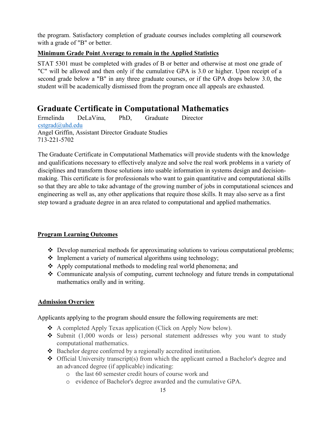the program. Satisfactory completion of graduate courses includes completing all coursework with a grade of "B" or better.

#### **Minimum Grade Point Average to remain in the Applied Statistics**

STAT 5301 must be completed with grades of B or better and otherwise at most one grade of "C" will be allowed and then only if the cumulative GPA is 3.0 or higher. Upon receipt of a second grade below a "B" in any three graduate courses, or if the GPA drops below 3.0, the student will be academically dismissed from the program once all appeals are exhausted.

# **Graduate Certificate in Computational Mathematics**

Ermelinda DeLaVina, PhD, Graduate Director [cstgrad@uhd.edu](mailto:cstgrad@uhd.edu)  Angel Griffin, Assistant Director Graduate Studies 713-221-5702

The Graduate Certificate in Computational Mathematics will provide students with the knowledge and qualifications necessary to effectively analyze and solve the real work problems in a variety of disciplines and transform those solutions into usable information in systems design and decisionmaking. This certificate is for professionals who want to gain quantitative and computational skills so that they are able to take advantage of the growing number of jobs in computational sciences and engineering as well as, any other applications that require those skills. It may also serve as a first step toward a graduate degree in an area related to computational and applied mathematics.

#### **Program Learning Outcomes**

- Develop numerical methods for approximating solutions to various computational problems;
- $\triangleleft$  Implement a variety of numerical algorithms using technology;
- Apply computational methods to modeling real world phenomena; and
- Communicate analysis of computing, current technology and future trends in computational mathematics orally and in writing.

#### **Admission Overview**

Applicants applying to the program should ensure the following requirements are met:

- ◆ A completed Apply Texas application (Click on Apply Now below).
- $\div$  Submit (1,000 words or less) personal statement addresses why you want to study computational mathematics.
- ◆ Bachelor degree conferred by a regionally accredited institution.
- Official University transcript(s) from which the applicant earned a Bachelor's degree and an advanced degree (if applicable) indicating:
	- o the last 60 semester credit hours of course work and
	- o evidence of Bachelor's degree awarded and the cumulative GPA.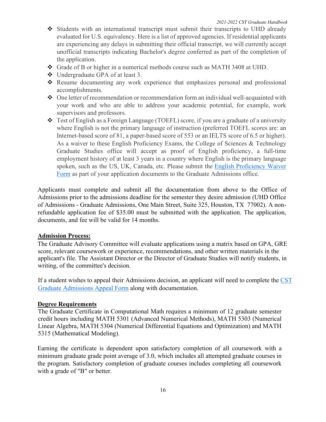- Students with an international transcript must submit their transcripts to UHD already evaluated for U.S. equivalency. Here is a list of approved agencies. If residential applicants are experiencing any delays in submitting their official transcript, we will currently accept unofficial transcripts indicating Bachelor's degree conferred as part of the completion of the application.
- Grade of B or higher in a numerical methods course such as MATH 3408 at UHD.
- Undergraduate GPA of at least 3.
- Resume documenting any work experience that emphasizes personal and professional accomplishments.
- One letter of recommendation or recommendation form an individual well-acquainted with your work and who are able to address your academic potential, for example, work supervisors and professors.
- Test of English as a Foreign Language (TOEFL) score, if you are a graduate of a university where English is not the primary language of instruction (preferred TOEFL scores are: an Internet-based score of 81, a paper-based score of 553 or an IELTS score of 6.5 or higher). As a waiver to these English Proficiency Exams, the College of Sciences & Technology Graduate Studies office will accept as proof of English proficiency, a full-time employment history of at least 3 years in a country where English is the primary language spoken, such as the US, UK, Canada, etc. Please submit the English Proficiency Waiver Form as part of your application documents to the Graduate Admissions office.

Applicants must complete and submit all the documentation from above to the Office of Admissions prior to the admissions deadline for the semester they desire admission (UHD Office of Admissions - Graduate Admissions, One Main Street, Suite 325, Houston, TX 77002). A nonrefundable application fee of \$35.00 must be submitted with the application. The application, documents, and fee will be valid for 14 months.

#### **Admission Process:**

The Graduate Advisory Committee will evaluate applications using a matrix based on GPA, GRE score, relevant coursework or experience, recommendations, and other written materials in the applicant's file. The Assistant Director or the Director of Graduate Studies will notify students, in writing, of the committee's decision.

If a student wishes to appeal their Admissions decision, an applicant will need to complete the  $\overline{\text{CST}}$ [Graduate Admissions Appeal Form](http://uhd.co1.qualtrics.com/jfe/form/SV_b28zqkZKop02j42) along with documentation.

#### **Degree Requirements**

The Graduate Certificate in Computational Math requires a minimum of 12 graduate semester credit hours including MATH 5301 (Advanced Numerical Methods), MATH 5303 (Numerical Linear Algebra, MATH 5304 (Numerical Differential Equations and Optimization) and MATH 5315 (Mathematical Modeling).

Earning the certificate is dependent upon satisfactory completion of all coursework with a minimum graduate grade point average of 3.0, which includes all attempted graduate courses in the program. Satisfactory completion of graduate courses includes completing all coursework with a grade of "B" or better.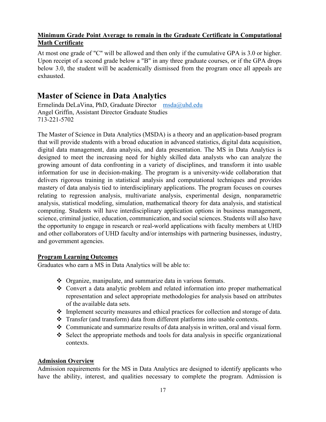#### **Minimum Grade Point Average to remain in the Graduate Certificate in Computational Math Certificate**

At most one grade of "C" will be allowed and then only if the cumulative GPA is 3.0 or higher. Upon receipt of a second grade below a "B" in any three graduate courses, or if the GPA drops below 3.0, the student will be academically dismissed from the program once all appeals are exhausted.

# **Master of Science in Data Analytics**

Ermelinda DeLaVina, PhD, Graduate Director [msda@uhd.edu](mailto:msda@uhd.edu) Angel Griffin, Assistant Director Graduate Studies 713-221-5702

The Master of Science in Data Analytics (MSDA) is a theory and an application-based program that will provide students with a broad education in advanced statistics, digital data acquisition, digital data management, data analysis, and data presentation. The MS in Data Analytics is designed to meet the increasing need for highly skilled data analysts who can analyze the growing amount of data confronting in a variety of disciplines, and transform it into usable information for use in decision-making. The program is a university-wide collaboration that delivers rigorous training in statistical analysis and computational techniques and provides mastery of data analysis tied to interdisciplinary applications. The program focuses on courses relating to regression analysis, multivariate analysis, experimental design, nonparametric analysis, statistical modeling, simulation, mathematical theory for data analysis, and statistical computing. Students will have interdisciplinary application options in business management, science, criminal justice, education, communication, and social sciences. Students will also have the opportunity to engage in research or real-world applications with faculty members at UHD and other collaborators of UHD faculty and/or internships with partnering businesses, industry, and government agencies.

#### **Program Learning Outcomes**

Graduates who earn a MS in Data Analytics will be able to:

- ◆ Organize, manipulate, and summarize data in various formats.
- Convert a data analytic problem and related information into proper mathematical representation and select appropriate methodologies for analysis based on attributes of the available data sets.
- Implement security measures and ethical practices for collection and storage of data.
- Transfer (and transform) data from different platforms into usable contexts.
- $\triangle$  Communicate and summarize results of data analysis in written, oral and visual form.
- $\triangle$  Select the appropriate methods and tools for data analysis in specific organizational contexts.

#### **Admission Overview**

Admission requirements for the MS in Data Analytics are designed to identify applicants who have the ability, interest, and qualities necessary to complete the program. Admission is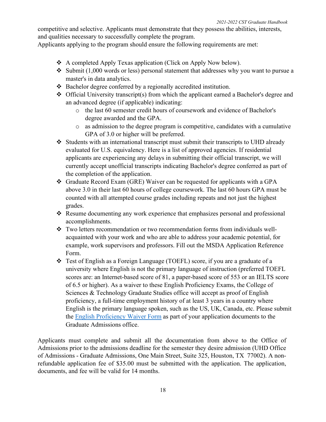competitive and selective. Applicants must demonstrate that they possess the abilities, interests, and qualities necessary to successfully complete the program.

Applicants applying to the program should ensure the following requirements are met:

- A completed Apply Texas application (Click on Apply Now below).
- $\triangleleft$  Submit (1,000 words or less) personal statement that addresses why you want to pursue a master's in data analytics.
- $\triangle$  Bachelor degree conferred by a regionally accredited institution.
- $\triangleleft$  Official University transcript(s) from which the applicant earned a Bachelor's degree and an advanced degree (if applicable) indicating:
	- o the last 60 semester credit hours of coursework and evidence of Bachelor's degree awarded and the GPA.
	- o as admission to the degree program is competitive, candidates with a cumulative GPA of 3.0 or higher will be preferred.
- $\triangleleft$  Students with an international transcript must submit their transcripts to UHD already evaluated for U.S. equivalency. Here is a list of approved agencies. If residential applicants are experiencing any delays in submitting their official transcript, we will currently accept unofficial transcripts indicating Bachelor's degree conferred as part of the completion of the application.
- Graduate Record Exam (GRE) Waiver can be requested for applicants with a GPA above 3.0 in their last 60 hours of college coursework. The last 60 hours GPA must be counted with all attempted course grades including repeats and not just the highest grades.
- Resume documenting any work experience that emphasizes personal and professional accomplishments.
- Two letters recommendation or two recommendation forms from individuals wellacquainted with your work and who are able to address your academic potential, for example, work supervisors and professors. Fill out the MSDA Application Reference Form.
- Test of English as a Foreign Language (TOEFL) score, if you are a graduate of a university where English is not the primary language of instruction (preferred TOEFL scores are: an Internet-based score of 81, a paper-based score of 553 or an IELTS score of 6.5 or higher). As a waiver to these English Proficiency Exams, the College of Sciences & Technology Graduate Studies office will accept as proof of English proficiency, a full-time employment history of at least 3 years in a country where English is the primary language spoken, such as the US, UK, Canada, etc. Please submit the English Proficiency Waiver Form as part of your application documents to the Graduate Admissions office.

Applicants must complete and submit all the documentation from above to the Office of Admissions prior to the admissions deadline for the semester they desire admission (UHD Office of Admissions - Graduate Admissions, One Main Street, Suite 325, Houston, TX 77002). A nonrefundable application fee of \$35.00 must be submitted with the application. The application, documents, and fee will be valid for 14 months.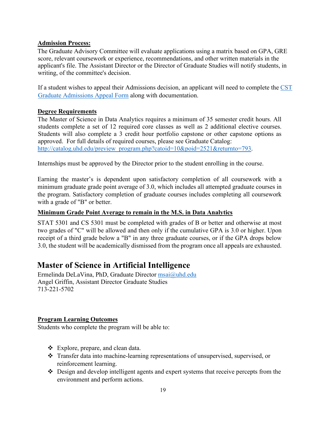#### **Admission Process:**

The Graduate Advisory Committee will evaluate applications using a matrix based on GPA, GRE score, relevant coursework or experience, recommendations, and other written materials in the applicant's file. The Assistant Director or the Director of Graduate Studies will notify students, in writing, of the committee's decision.

If a student wishes to appeal their Admissions decision, an applicant will need to complete the [CST](http://uhd.co1.qualtrics.com/jfe/form/SV_b28zqkZKop02j42)  [Graduate Admissions Appeal Form](http://uhd.co1.qualtrics.com/jfe/form/SV_b28zqkZKop02j42) along with documentation.

#### **Degree Requirements**

The Master of Science in Data Analytics requires a minimum of 35 semester credit hours. All students complete a set of 12 required core classes as well as 2 additional elective courses. Students will also complete a 3 credit hour portfolio capstone or other capstone options as approved. For full details of required courses, please see Graduate Catalog: [http://catalog.uhd.edu/preview\\_program.php?catoid=10&poid=2521&returnto=793.](http://catalog.uhd.edu/preview_program.php?catoid=10&poid=2521&returnto=793)

Internships must be approved by the Director prior to the student enrolling in the course.

Earning the master's is dependent upon satisfactory completion of all coursework with a minimum graduate grade point average of 3.0, which includes all attempted graduate courses in the program. Satisfactory completion of graduate courses includes completing all coursework with a grade of "B" or better.

#### **Minimum Grade Point Average to remain in the M.S. in Data Analytics**

STAT 5301 and CS 5301 must be completed with grades of B or better and otherwise at most two grades of "C" will be allowed and then only if the cumulative GPA is 3.0 or higher. Upon receipt of a third grade below a "B" in any three graduate courses, or if the GPA drops below 3.0, the student will be academically dismissed from the program once all appeals are exhausted.

## **Master of Science in Artificial Intelligence**

Ermelinda DeLaVina, PhD, Graduate Director [msai@uhd.edu](mailto:msai@uhd.edu)  Angel Griffin, Assistant Director Graduate Studies 713-221-5702

#### **Program Learning Outcomes**

Students who complete the program will be able to:

- Explore, prepare, and clean data.
- Transfer data into machine-learning representations of unsupervised, supervised, or reinforcement learning.
- Design and develop intelligent agents and expert systems that receive percepts from the environment and perform actions.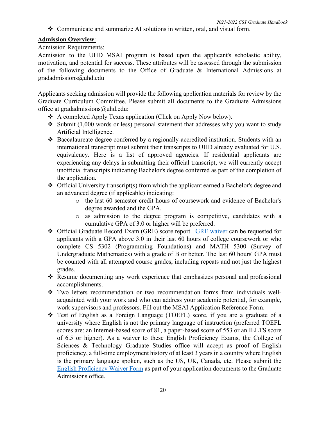Communicate and summarize AI solutions in written, oral, and visual form.

#### **Admission Overview**:

#### Admission Requirements:

Admission to the UHD MSAI program is based upon the applicant's scholastic ability, motivation, and potential for success. These attributes will be assessed through the submission of the following documents to the Office of Graduate & International Admissions at gradadmissions@uhd.edu

Applicants seeking admission will provide the following application materials for review by the Graduate Curriculum Committee. Please submit all documents to the Graduate Admissions office at gradadmissions@uhd.edu:

- A completed Apply Texas application (Click on Apply Now below).
- Submit  $(1,000$  words or less) personal statement that addresses why you want to study Artificial Intelligence.
- Baccalaureate degree conferred by a regionally-accredited institution. Students with an international transcript must submit their transcripts to UHD already evaluated for U.S. equivalency. Here is a list of approved agencies. If residential applicants are experiencing any delays in submitting their official transcript, we will currently accept unofficial transcripts indicating Bachelor's degree conferred as part of the completion of the application.
- $\triangleleft$  Official University transcript(s) from which the applicant earned a Bachelor's degree and an advanced degree (if applicable) indicating:
	- o the last 60 semester credit hours of coursework and evidence of Bachelor's degree awarded and the GPA.
	- o as admission to the degree program is competitive, candidates with a cumulative GPA of 3.0 or higher will be preferred.
- ◆ Official Graduate Record Exam (GRE) score report. GRE waiver can be requested for applicants with a GPA above 3.0 in their last 60 hours of college coursework or who complete CS 5302 (Programming Foundations) and MATH 5300 (Survey of Undergraduate Mathematics) with a grade of B or better. The last 60 hours' GPA must be counted with all attempted course grades, including repeats and not just the highest grades.
- Resume documenting any work experience that emphasizes personal and professional accomplishments.
- Two letters recommendation or two recommendation forms from individuals wellacquainted with your work and who can address your academic potential, for example, work supervisors and professors. Fill out the MSAI Application Reference Form.
- Test of English as a Foreign Language (TOEFL) score, if you are a graduate of a university where English is not the primary language of instruction (preferred TOEFL scores are: an Internet-based score of 81, a paper-based score of 553 or an IELTS score of 6.5 or higher). As a waiver to these English Proficiency Exams, the College of Sciences & Technology Graduate Studies office will accept as proof of English proficiency, a full-time employment history of at least 3 years in a country where English is the primary language spoken, such as the US, UK, Canada, etc. Please submit the English Proficiency Waiver Form as part of your application documents to the Graduate Admissions office.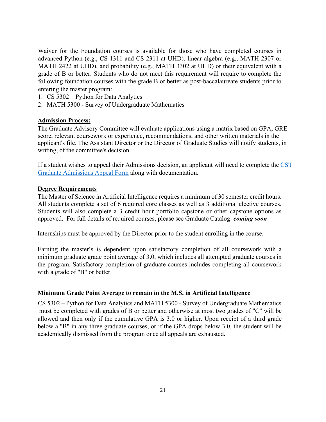Waiver for the Foundation courses is available for those who have completed courses in advanced Python (e.g., CS 1311 and CS 2311 at UHD), linear algebra (e.g., MATH 2307 or MATH 2422 at UHD), and probability (e.g., MATH 3302 at UHD) or their equivalent with a grade of B or better. Students who do not meet this requirement will require to complete the following foundation courses with the grade B or better as post-baccalaureate students prior to entering the master program:

- 1. CS 5302 Python for Data Analytics
- 2. MATH 5300 Survey of Undergraduate Mathematics

#### **Admission Process:**

The Graduate Advisory Committee will evaluate applications using a matrix based on GPA, GRE score, relevant coursework or experience, recommendations, and other written materials in the applicant's file. The Assistant Director or the Director of Graduate Studies will notify students, in writing, of the committee's decision.

If a student wishes to appeal their Admissions decision, an applicant will need to complete the CST Graduate [Admissions Appeal Form](http://uhd.co1.qualtrics.com/jfe/form/SV_b28zqkZKop02j42) along with documentation.

#### **Degree Requirements**

The Master of Science in Artificial Intelligence requires a minimum of 30 semester credit hours. All students complete a set of 6 required core classes as well as 3 additional elective courses. Students will also complete a 3 credit hour portfolio capstone or other capstone options as approved. For full details of required courses, please see Graduate Catalog: *coming soon*

Internships must be approved by the Director prior to the student enrolling in the course.

Earning the master's is dependent upon satisfactory completion of all coursework with a minimum graduate grade point average of 3.0, which includes all attempted graduate courses in the program. Satisfactory completion of graduate courses includes completing all coursework with a grade of "B" or better.

#### **Minimum Grade Point Average to remain in the M.S. in Artificial Intelligence**

CS 5302 – Python for Data Analytics and MATH 5300 - Survey of Undergraduate Mathematics must be completed with grades of B or better and otherwise at most two grades of "C" will be allowed and then only if the cumulative GPA is 3.0 or higher. Upon receipt of a third grade below a "B" in any three graduate courses, or if the GPA drops below 3.0, the student will be academically dismissed from the program once all appeals are exhausted.